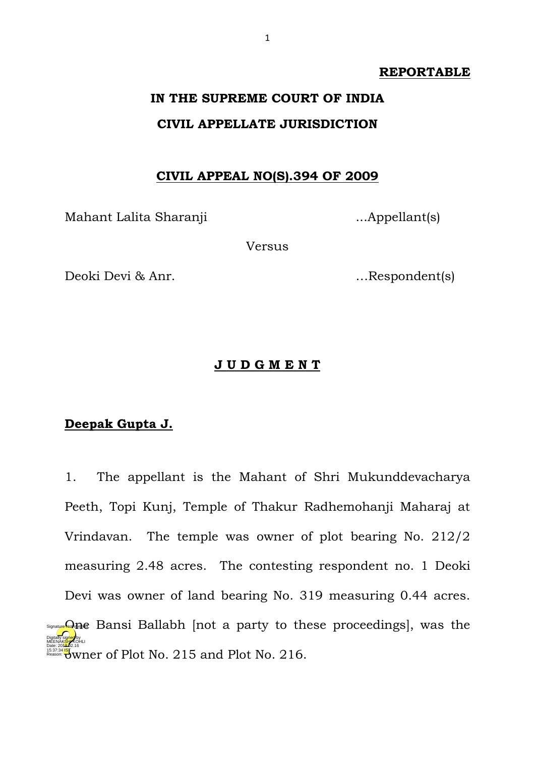#### **REPORTABLE**

# **IN THE SUPREME COURT OF INDIA CIVIL APPELLATE JURISDICTION**

### **CIVIL APPEAL NO(S).394 OF 2009**

Mahant Lalita Sharanji ...Appellant(s)

Versus

Deoki Devi & Anr. …Respondent(s)

#### **J U D G M E N T**

## **Deepak Gupta J.**

1. The appellant is the Mahant of Shri Mukunddevacharya Peeth, Topi Kunj, Temple of Thakur Radhemohanji Maharaj at Vrindavan. The temple was owner of plot bearing No. 212/2 measuring 2.48 acres. The contesting respondent no. 1 Deoki Devi was owner of land bearing No. 319 measuring 0.44 acres. Sunayue Othe Bansi Ballabh [not a party to these proceedings], was the **ORIGINAL SOME 2.16**<br>Reason: UWNer of Plot No. 215 and Plot No. 216. Digitally signed by MEENAK<mark>SH</mark>/KOHLI 15:37:34 IST Reason: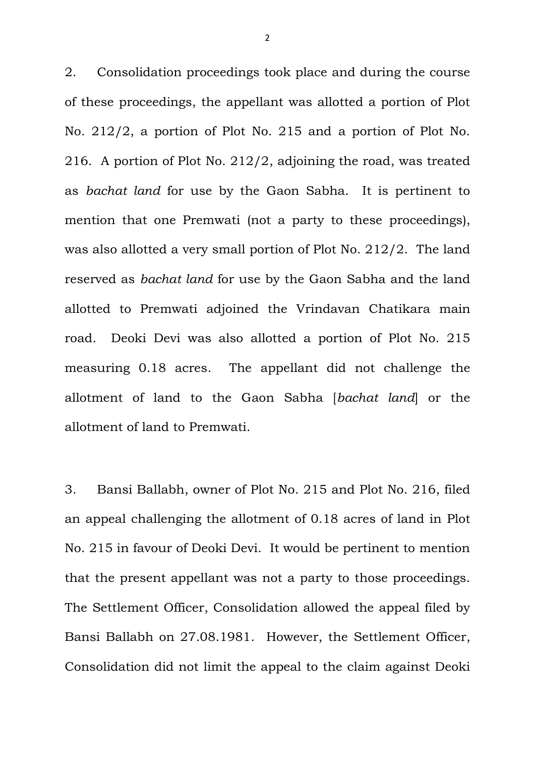2. Consolidation proceedings took place and during the course of these proceedings, the appellant was allotted a portion of Plot No. 212/2, a portion of Plot No. 215 and a portion of Plot No. 216. A portion of Plot No. 212/2, adjoining the road, was treated as *bachat land* for use by the Gaon Sabha. It is pertinent to mention that one Premwati (not a party to these proceedings), was also allotted a very small portion of Plot No. 212/2. The land reserved as *bachat land* for use by the Gaon Sabha and the land allotted to Premwati adjoined the Vrindavan Chatikara main road. Deoki Devi was also allotted a portion of Plot No. 215 measuring 0.18 acres. The appellant did not challenge the allotment of land to the Gaon Sabha [*bachat land*] or the allotment of land to Premwati.

3. Bansi Ballabh, owner of Plot No. 215 and Plot No. 216, filed an appeal challenging the allotment of 0.18 acres of land in Plot No. 215 in favour of Deoki Devi. It would be pertinent to mention that the present appellant was not a party to those proceedings. The Settlement Officer, Consolidation allowed the appeal filed by Bansi Ballabh on 27.08.1981. However, the Settlement Officer, Consolidation did not limit the appeal to the claim against Deoki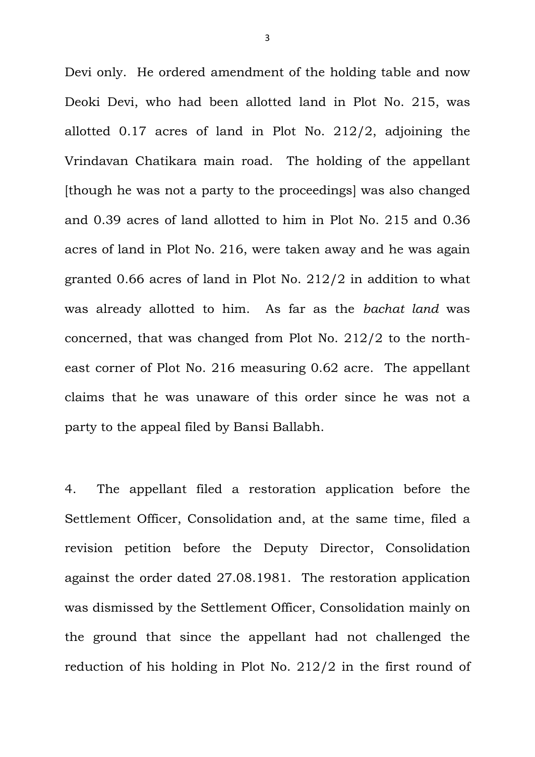Devi only. He ordered amendment of the holding table and now Deoki Devi, who had been allotted land in Plot No. 215, was allotted 0.17 acres of land in Plot No. 212/2, adjoining the Vrindavan Chatikara main road. The holding of the appellant [though he was not a party to the proceedings] was also changed and 0.39 acres of land allotted to him in Plot No. 215 and 0.36 acres of land in Plot No. 216, were taken away and he was again granted 0.66 acres of land in Plot No. 212/2 in addition to what was already allotted to him. As far as the *bachat land* was concerned, that was changed from Plot No. 212/2 to the northeast corner of Plot No. 216 measuring 0.62 acre. The appellant claims that he was unaware of this order since he was not a party to the appeal filed by Bansi Ballabh.

4. The appellant filed a restoration application before the Settlement Officer, Consolidation and, at the same time, filed a revision petition before the Deputy Director, Consolidation against the order dated 27.08.1981. The restoration application was dismissed by the Settlement Officer, Consolidation mainly on the ground that since the appellant had not challenged the reduction of his holding in Plot No. 212/2 in the first round of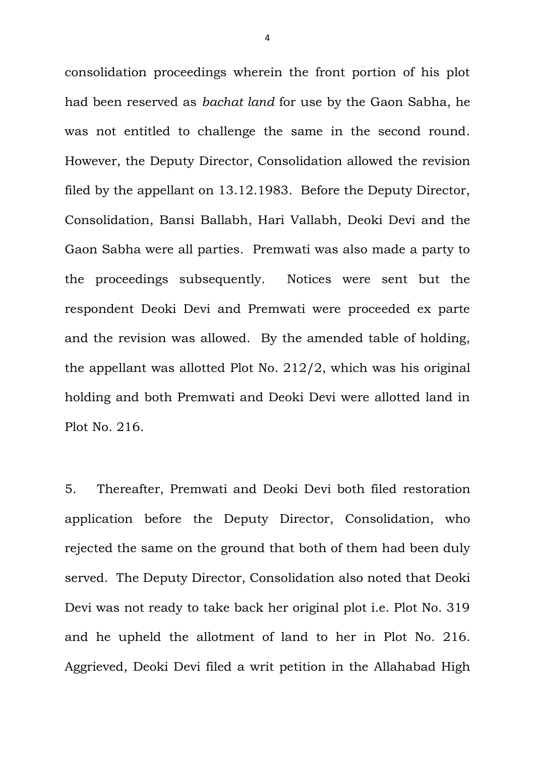consolidation proceedings wherein the front portion of his plot had been reserved as *bachat land* for use by the Gaon Sabha, he was not entitled to challenge the same in the second round. However, the Deputy Director, Consolidation allowed the revision filed by the appellant on 13.12.1983. Before the Deputy Director, Consolidation, Bansi Ballabh, Hari Vallabh, Deoki Devi and the Gaon Sabha were all parties. Premwati was also made a party to the proceedings subsequently. Notices were sent but the respondent Deoki Devi and Premwati were proceeded ex parte and the revision was allowed. By the amended table of holding, the appellant was allotted Plot No. 212/2, which was his original holding and both Premwati and Deoki Devi were allotted land in Plot No. 216.

5. Thereafter, Premwati and Deoki Devi both filed restoration application before the Deputy Director, Consolidation, who rejected the same on the ground that both of them had been duly served. The Deputy Director, Consolidation also noted that Deoki Devi was not ready to take back her original plot i.e. Plot No. 319 and he upheld the allotment of land to her in Plot No. 216. Aggrieved, Deoki Devi filed a writ petition in the Allahabad High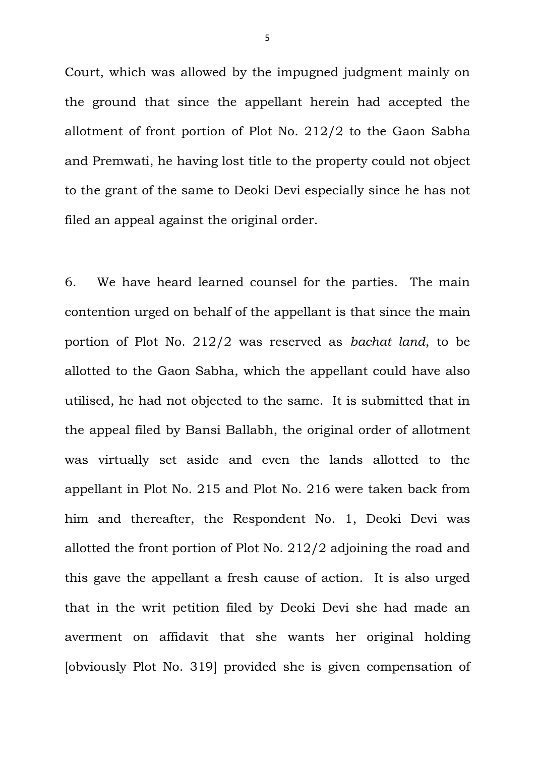Court, which was allowed by the impugned judgment mainly on the ground that since the appellant herein had accepted the allotment of front portion of Plot No. 212/2 to the Gaon Sabha and Premwati, he having lost title to the property could not object to the grant of the same to Deoki Devi especially since he has not filed an appeal against the original order.

6. We have heard learned counsel for the parties. The main contention urged on behalf of the appellant is that since the main portion of Plot No. 212/2 was reserved as *bachat land*, to be allotted to the Gaon Sabha, which the appellant could have also utilised, he had not objected to the same. It is submitted that in the appeal filed by Bansi Ballabh, the original order of allotment was virtually set aside and even the lands allotted to the appellant in Plot No. 215 and Plot No. 216 were taken back from him and thereafter, the Respondent No. 1, Deoki Devi was allotted the front portion of Plot No. 212/2 adjoining the road and this gave the appellant a fresh cause of action. It is also urged that in the writ petition filed by Deoki Devi she had made an averment on affidavit that she wants her original holding [obviously Plot No. 319] provided she is given compensation of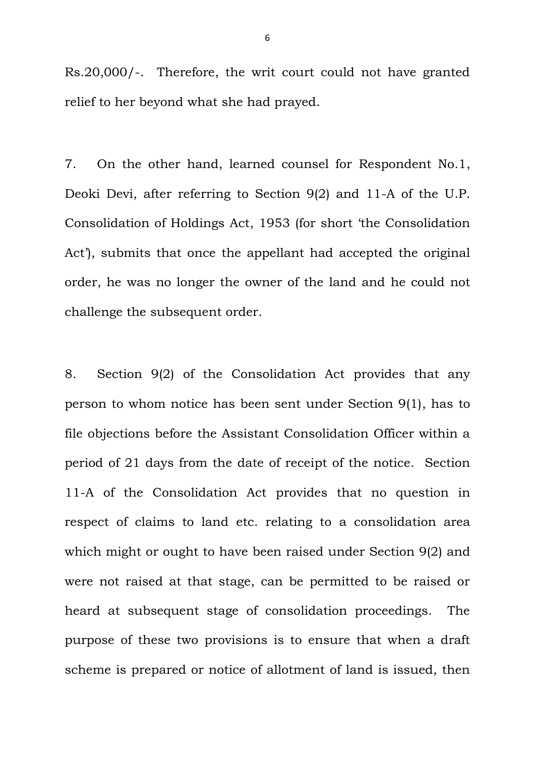Rs.20,000/-. Therefore, the writ court could not have granted relief to her beyond what she had prayed.

7. On the other hand, learned counsel for Respondent No.1, Deoki Devi, after referring to Section 9(2) and 11-A of the U.P. Consolidation of Holdings Act, 1953 (for short 'the Consolidation Act'), submits that once the appellant had accepted the original order, he was no longer the owner of the land and he could not challenge the subsequent order.

8. Section 9(2) of the Consolidation Act provides that any person to whom notice has been sent under Section 9(1), has to file objections before the Assistant Consolidation Officer within a period of 21 days from the date of receipt of the notice. Section 11-A of the Consolidation Act provides that no question in respect of claims to land etc. relating to a consolidation area which might or ought to have been raised under Section 9(2) and were not raised at that stage, can be permitted to be raised or heard at subsequent stage of consolidation proceedings. The purpose of these two provisions is to ensure that when a draft scheme is prepared or notice of allotment of land is issued, then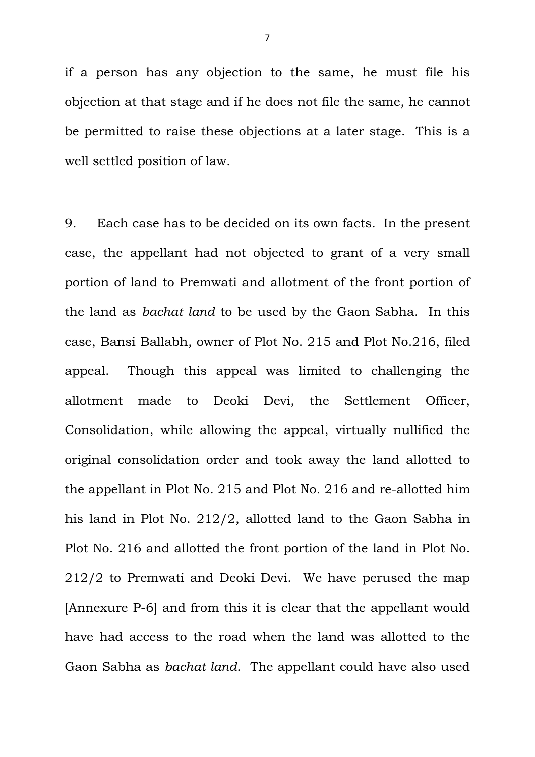if a person has any objection to the same, he must file his objection at that stage and if he does not file the same, he cannot be permitted to raise these objections at a later stage. This is a well settled position of law.

9. Each case has to be decided on its own facts. In the present case, the appellant had not objected to grant of a very small portion of land to Premwati and allotment of the front portion of the land as *bachat land* to be used by the Gaon Sabha. In this case, Bansi Ballabh, owner of Plot No. 215 and Plot No.216, filed appeal. Though this appeal was limited to challenging the allotment made to Deoki Devi, the Settlement Officer, Consolidation, while allowing the appeal, virtually nullified the original consolidation order and took away the land allotted to the appellant in Plot No. 215 and Plot No. 216 and re-allotted him his land in Plot No. 212/2, allotted land to the Gaon Sabha in Plot No. 216 and allotted the front portion of the land in Plot No. 212/2 to Premwati and Deoki Devi. We have perused the map [Annexure P-6] and from this it is clear that the appellant would have had access to the road when the land was allotted to the Gaon Sabha as *bachat land*. The appellant could have also used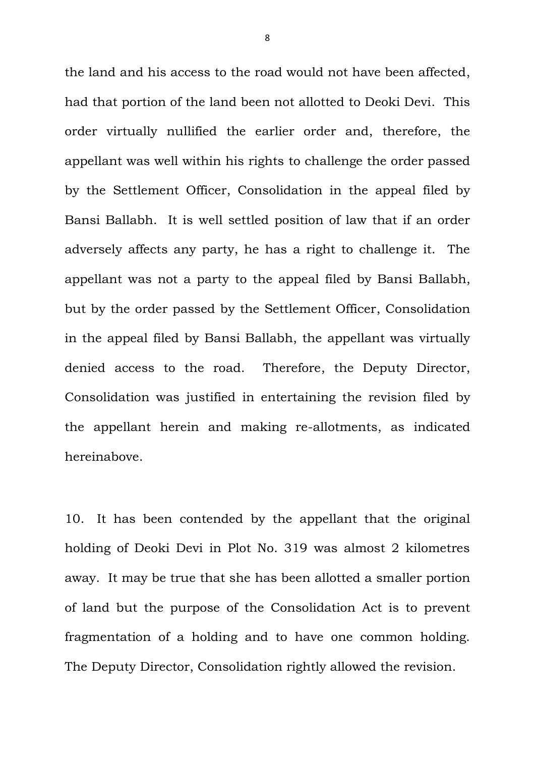the land and his access to the road would not have been affected, had that portion of the land been not allotted to Deoki Devi. This order virtually nullified the earlier order and, therefore, the appellant was well within his rights to challenge the order passed by the Settlement Officer, Consolidation in the appeal filed by Bansi Ballabh. It is well settled position of law that if an order adversely affects any party, he has a right to challenge it. The appellant was not a party to the appeal filed by Bansi Ballabh, but by the order passed by the Settlement Officer, Consolidation in the appeal filed by Bansi Ballabh, the appellant was virtually denied access to the road. Therefore, the Deputy Director, Consolidation was justified in entertaining the revision filed by the appellant herein and making re-allotments, as indicated hereinabove.

10. It has been contended by the appellant that the original holding of Deoki Devi in Plot No. 319 was almost 2 kilometres away. It may be true that she has been allotted a smaller portion of land but the purpose of the Consolidation Act is to prevent fragmentation of a holding and to have one common holding. The Deputy Director, Consolidation rightly allowed the revision.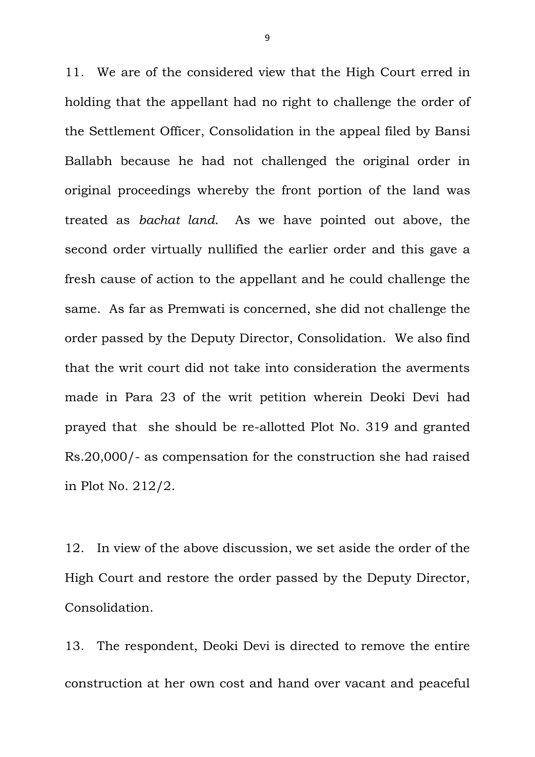11. We are of the considered view that the High Court erred in holding that the appellant had no right to challenge the order of the Settlement Officer, Consolidation in the appeal filed by Bansi Ballabh because he had not challenged the original order in original proceedings whereby the front portion of the land was treated as *bachat land*. As we have pointed out above, the second order virtually nullified the earlier order and this gave a fresh cause of action to the appellant and he could challenge the same. As far as Premwati is concerned, she did not challenge the order passed by the Deputy Director, Consolidation. We also find that the writ court did not take into consideration the averments made in Para 23 of the writ petition wherein Deoki Devi had prayed that she should be re-allotted Plot No. 319 and granted Rs.20,000/- as compensation for the construction she had raised in Plot No. 212/2.

12. In view of the above discussion, we set aside the order of the High Court and restore the order passed by the Deputy Director, Consolidation.

13. The respondent, Deoki Devi is directed to remove the entire construction at her own cost and hand over vacant and peaceful

9